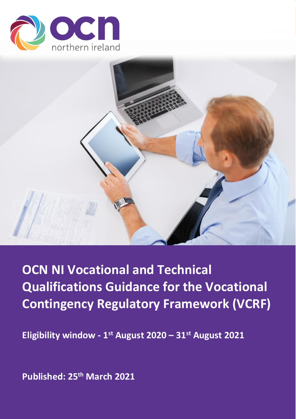



# **OCN NI Vocational and Technical Qualifications Guidance for the Vocational Contingency Regulatory Framework (VCRF)**

**Eligibility window - 1 st August 2020 – 31st August 2021**

**Published: 25th March 2021**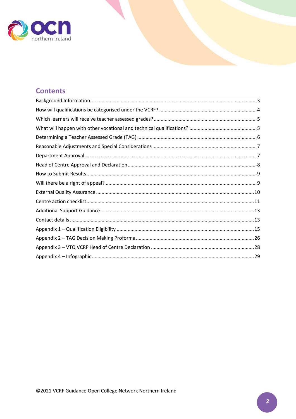

# **Contents**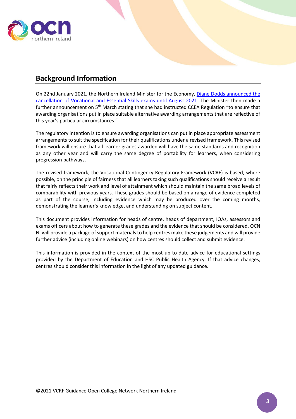

# <span id="page-2-0"></span>**Background Information**

On 22nd January 2021, the Northern Ireland Minister for the Economy, Diane Dodds [announced the](https://www.economy-ni.gov.uk/news/dodds-announces-cancellation-vocational-and-essential-skills-exams)  [cancellation of Vocational and Essential Skills exams until August 2021.](https://www.economy-ni.gov.uk/news/dodds-announces-cancellation-vocational-and-essential-skills-exams) The Minister then made a further announcement on 5<sup>th</sup> March stating that she had instructed CCEA Regulation "to ensure that awarding organisations put in place suitable alternative awarding arrangements that are reflective of this year's particular circumstances."

The regulatory intention is to ensure awarding organisations can put in place appropriate assessment arrangements to suit the specification for their qualifications under a revised framework. This revised framework will ensure that all learner grades awarded will have the same standards and recognition as any other year and will carry the same degree of portability for learners, when considering progression pathways.

The revised framework, the Vocational Contingency Regulatory Framework (VCRF) is based, where possible, on the principle of fairness that all learners taking such qualifications should receive a result that fairly reflects their work and level of attainment which should maintain the same broad levels of comparability with previous years. These grades should be based on a range of evidence completed as part of the course, including evidence which may be produced over the coming months, demonstrating the learner's knowledge, and understanding on subject content.

This document provides information for heads of centre, heads of department, IQAs, assessors and exams officers about how to generate these grades and the evidence that should be considered. OCN NI will provide a package of support materials to help centres make these judgements and will provide further advice (including online webinars) on how centres should collect and submit evidence.

This information is provided in the context of the most up-to-date advice for educational settings provided by the Department of Education and HSC Public Health Agency. If that advice changes, centres should consider this information in the light of any updated guidance.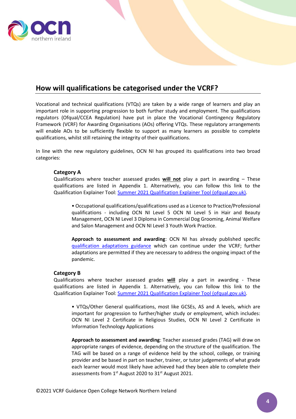

## <span id="page-3-0"></span>**How will qualifications be categorised under the VCRF?**

Vocational and technical qualifications (VTQs) are taken by a wide range of learners and play an important role in supporting progression to both further study and employment. The qualifications regulators (Ofqual/CCEA Regulation) have put in place the Vocational Contingency Regulatory Framework (VCRF) for Awarding Organisations (AOs) offering VTQs. These regulatory arrangements will enable AOs to be sufficiently flexible to support as many learners as possible to complete qualifications, whilst still retaining the integrity of their qualifications.

In line with the new regulatory guidelines, OCN NI has grouped its qualifications into two broad categories:

#### **Category A**

Qualifications where teacher assessed grades **will not** play a part in awarding – These qualifications are listed in Appendix 1. Alternatively, you can follow this link to the Qualification Explainer Tool: [Summer 2021 Qualification Explainer Tool \(ofqual.gov.uk\).](https://analytics.ofqual.gov.uk/apps/AllQualifications/summer2021tool/)

• Occupational qualifications/qualifications used as a Licence to Practice/Professional qualifications - including OCN NI Level 5 OCN NI Level 5 in Hair and Beauty Management, OCN NI Level 3 Diploma in Commercial Dog Grooming, Animal Welfare and Salon Management and OCN NI Level 3 Youth Work Practice.

**Approach to assessment and awarding**: OCN NI has already published specific [qualification adaptations guidance](https://www.ocnni.org.uk/centres/centre-covid-19-updates/) which can continue under the VCRF; further adaptations are permitted if they are necessary to address the ongoing impact of the pandemic.

#### **Category B**

Qualifications where teacher assessed grades **will** play a part in awarding - These qualifications are listed in Appendix 1. Alternatively, you can follow this link to the Qualification Explainer Tool: [Summer 2021 Qualification Explainer Tool \(ofqual.gov.uk\).](https://analytics.ofqual.gov.uk/apps/AllQualifications/summer2021tool/)

• VTQs/Other General qualifications, most like GCSEs, AS and A levels, which are important for progression to further/higher study or employment, which includes: OCN NI Level 2 Certificate in Religious Studies, OCN NI Level 2 Certificate in Information Technology Applications

**Approach to assessment and awarding**: Teacher assessed grades (TAG) will draw on appropriate ranges of evidence, depending on the structure of the qualification. The TAG will be based on a range of evidence held by the school, college, or training provider and be based in part on teacher, trainer, or tutor judgements of what grade each learner would most likely have achieved had they been able to complete their assessments from 1<sup>st</sup> August 2020 to 31<sup>st</sup> August 2021.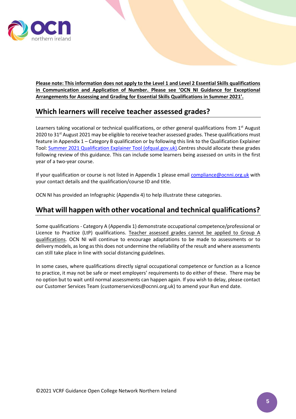

**Please note: This information does not apply to the Level 1 and Level 2 Essential Skills qualifications in Communication and Application of Number. Please see 'OCN NI Guidance for Exceptional Arrangements for Assessing and Grading for Essential Skills Qualifications in Summer 2021'.**

### <span id="page-4-0"></span>**Which learners will receive teacher assessed grades?**

Learners taking vocational or technical qualifications, or other general qualifications from 1<sup>st</sup> August 2020 to 31<sup>st</sup> August 2021 may be eligible to receive teacher assessed grades. These qualifications must feature in Appendix 1 – Category B qualification or by following this link to the Qualification Explainer Tool: Summer 2021 Qualification Explainer Tool (ofqual.gov.uk) Centres should allocate these grades following review of this guidance. This can include some learners being assessed on units in the first year of a two-year course.

If your qualification or course is not listed in Appendix 1 please email [compliance@ocnni.org.uk](mailto:compliance@ocnni.org.uk) with your contact details and the qualification/course ID and title.

OCN NI has provided an Infographic (Appendix 4) to help illustrate these categories.

### <span id="page-4-1"></span>**What will happen with other vocational and technical qualifications?**

Some qualifications - Category A (Appendix 1) demonstrate occupational competence/professional or Licence to Practice (LtP) qualifications. Teacher assessed grades cannot be applied to Group A qualifications. OCN NI will continue to encourage adaptations to be made to assessments or to delivery models, as long as this does not undermine the reliability of the result and where assessments can still take place in line with social distancing guidelines.

In some cases, where qualifications directly signal occupational competence or function as a licence to practice, it may not be safe or meet employers' requirements to do either of these. There may be no option but to wait until normal assessments can happen again. If you wish to delay, please contact our Customer Services Team (customerservices@ocnni.org.uk) to amend your Run end date.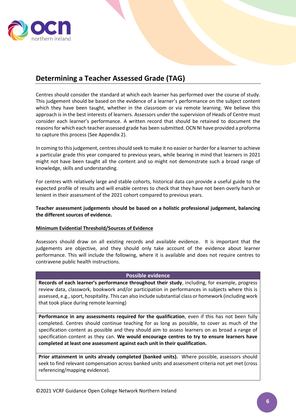

# <span id="page-5-0"></span>**Determining a Teacher Assessed Grade (TAG)**

Centres should consider the standard at which each learner has performed over the course of study. This judgement should be based on the evidence of a learner's performance on the subject content which they have been taught, whether in the classroom or via remote learning. We believe this approach is in the best interests of learners. Assessors under the supervision of Heads of Centre must consider each learner's performance. A written record that should be retained to document the reasons for which each teacher assessed grade has been submitted. OCN NI have provided a proforma to capture this process (See Appendix 2).

In coming to this judgement, centres should seek to make it no easier or harder for a learner to achieve a particular grade this year compared to previous years, while bearing in mind that learners in 2021 might not have been taught all the content and so might not demonstrate such a broad range of knowledge, skills and understanding.

For centres with relatively large and stable cohorts, historical data can provide a useful guide to the expected profile of results and will enable centres to check that they have not been overly harsh or lenient in their assessment of the 2021 cohort compared to previous years.

**Teacher assessment judgements should be based on a holistic professional judgement, balancing the different sources of evidence.** 

#### **Minimum Evidential Threshold/Sources of Evidence**

Assessors should draw on all existing records and available evidence. It is important that the judgements are objective, and they should only take account of the evidence about learner performance. This will include the following, where it is available and does not require centres to contravene public health instructions.

#### **Possible evidence**

**Records of each learner's performance throughout their study**, including, for example, progress review data, classwork, bookwork and/or participation in performances in subjects where this is assessed, e.g., sport, hospitality. This can also include substantial class or homework (including work that took place during remote learning)

**Performance in any assessments required for the qualification**, even if this has not been fully completed. Centres should continue teaching for as long as possible, to cover as much of the specification content as possible and they should aim to assess learners on as broad a range of specification content as they can. **We would encourage centres to try to ensure learners have completed at least one assessment against each unit in their qualification.**

**Prior attainment in units already completed (banked units).** Where possible, assessors should seek to find relevant compensation across banked units and assessment criteria not yet met (cross referencing/mapping evidence).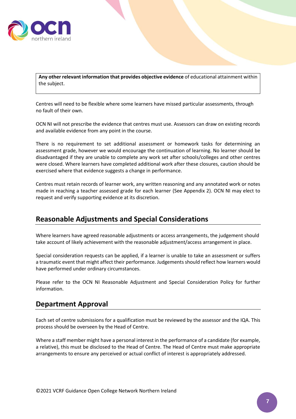

**Any other relevant information that provides objective evidence** of educational attainment within the subject.

Centres will need to be flexible where some learners have missed particular assessments, through no fault of their own.

OCN NI will not prescribe the evidence that centres must use. Assessors can draw on existing records and available evidence from any point in the course.

There is no requirement to set additional assessment or homework tasks for determining an assessment grade, however we would encourage the continuation of learning. No learner should be disadvantaged if they are unable to complete any work set after schools/colleges and other centres were closed. Where learners have completed additional work after these closures, caution should be exercised where that evidence suggests a change in performance.

Centres must retain records of learner work, any written reasoning and any annotated work or notes made in reaching a teacher assessed grade for each learner (See Appendix 2). OCN NI may elect to request and verify supporting evidence at its discretion.

### <span id="page-6-0"></span>**Reasonable Adjustments and Special Considerations**

Where learners have agreed reasonable adjustments or access arrangements, the judgement should take account of likely achievement with the reasonable adjustment/access arrangement in place.

Special consideration requests can be applied, if a learner is unable to take an assessment or suffers a traumatic event that might affect their performance. Judgements should reflect how learners would have performed under ordinary circumstances.

Please refer to the OCN NI Reasonable Adjustment and Special Consideration Policy for further information.

### <span id="page-6-1"></span>**Department Approval**

Each set of centre submissions for a qualification must be reviewed by the assessor and the IQA. This process should be overseen by the Head of Centre.

Where a staff member might have a personal interest in the performance of a candidate (for example, a relative), this must be disclosed to the Head of Centre. The Head of Centre must make appropriate arrangements to ensure any perceived or actual conflict of interest is appropriately addressed.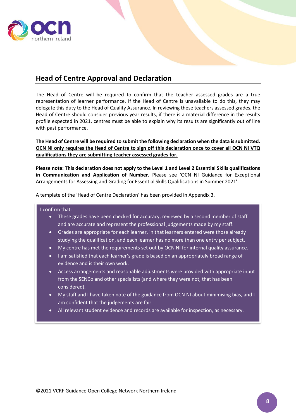

## <span id="page-7-0"></span>**Head of Centre Approval and Declaration**

The Head of Centre will be required to confirm that the teacher assessed grades are a true representation of learner performance. If the Head of Centre is unavailable to do this, they may delegate this duty to the Head of Quality Assurance. In reviewing these teachers assessed grades, the Head of Centre should consider previous year results, if there is a material difference in the results profile expected in 2021, centres must be able to explain why its results are significantly out of line with past performance.

**The Head of Centre will be required to submit the following declaration when the data is submitted. OCN NI only requires the Head of Centre to sign off this declaration once to cover all OCN NI VTQ qualifications they are submitting teacher assessed grades for.**

**Please note: This declaration does not apply to the Level 1 and Level 2 Essential Skills qualifications in Communication and Application of Number.** Please see 'OCN NI Guidance for Exceptional Arrangements for Assessing and Grading for Essential Skills Qualifications in Summer 2021'.

A template of the 'Head of Centre Declaration' has been provided in Appendix 3.

#### I confirm that:

- These grades have been checked for accuracy, reviewed by a second member of staff and are accurate and represent the professional judgements made by my staff.
- Grades are appropriate for each learner, in that learners entered were those already studying the qualification, and each learner has no more than one entry per subject.
- My centre has met the requirements set out by OCN NI for internal quality assurance.
- I am satisfied that each learner's grade is based on an appropriately broad range of evidence and is their own work.
- Access arrangements and reasonable adjustments were provided with appropriate input from the SENCo and other specialists (and where they were not, that has been considered).
- My staff and I have taken note of the guidance from OCN NI about minimising bias, and I am confident that the judgements are fair.
- All relevant student evidence and records are available for inspection, as necessary.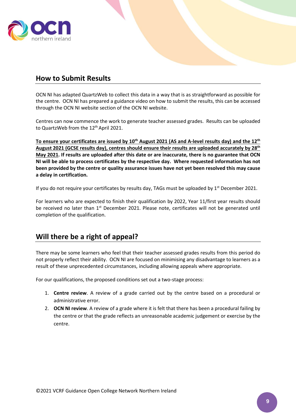

### <span id="page-8-0"></span>**How to Submit Results**

OCN NI has adapted QuartzWeb to collect this data in a way that is as straightforward as possible for the centre. OCN NI has prepared a guidance video on how to submit the results, this can be accessed through the OCN NI website section of the OCN NI website.

Centres can now commence the work to generate teacher assessed grades. Results can be uploaded to QuartzWeb from the 12<sup>th</sup> April 2021.

**To ensure your certificates are issued by 10th August 2021 (AS and A-level results day) and the 12th August 2021 (GCSE results day), centres should ensure their results are uploaded accurately by 28th May 2021. If results are uploaded after this date or are inaccurate, there is no guarantee that OCN NI will be able to process certificates by the respective day. Where requested information has not been provided by the centre or quality assurance issues have not yet been resolved this may cause a delay in certification.**

If you do not require your certificates by results day, TAGs must be uploaded by  $1<sup>st</sup>$  December 2021.

For learners who are expected to finish their qualification by 2022, Year 11/first year results should be received no later than 1<sup>st</sup> December 2021. Please note, certificates will not be generated until completion of the qualification.

### <span id="page-8-1"></span>**Will there be a right of appeal?**

There may be some learners who feel that their teacher assessed grades results from this period do not properly reflect their ability. OCN NI are focused on minimising any disadvantage to learners as a result of these unprecedented circumstances, including allowing appeals where appropriate.

For our qualifications, the proposed conditions set out a two-stage process:

- 1. **Centre review**. A review of a grade carried out by the centre based on a procedural or administrative error.
- 2. **OCN NI review**. A review of a grade where it is felt that there has been a procedural failing by the centre or that the grade reflects an unreasonable academic judgement or exercise by the centre.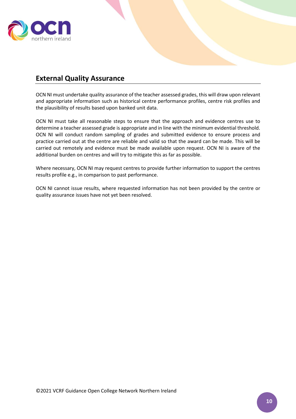

### <span id="page-9-0"></span>**External Quality Assurance**

OCN NI must undertake quality assurance of the teacher assessed grades, this will draw upon relevant and appropriate information such as historical centre performance profiles, centre risk profiles and the plausibility of results based upon banked unit data.

OCN NI must take all reasonable steps to ensure that the approach and evidence centres use to determine a teacher assessed grade is appropriate and in line with the minimum evidential threshold. OCN NI will conduct random sampling of grades and submitted evidence to ensure process and practice carried out at the centre are reliable and valid so that the award can be made. This will be carried out remotely and evidence must be made available upon request. OCN NI is aware of the additional burden on centres and will try to mitigate this as far as possible.

Where necessary, OCN NI may request centres to provide further information to support the centres results profile e.g., in comparison to past performance.

OCN NI cannot issue results, where requested information has not been provided by the centre or quality assurance issues have not yet been resolved.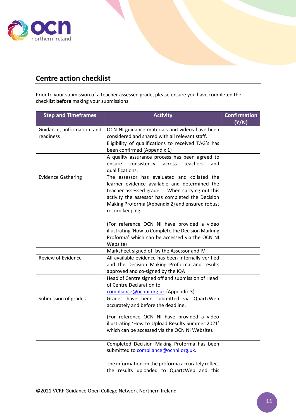

# <span id="page-10-0"></span>**Centre action checklist**

Prior to your submission of a teacher assessed grade, please ensure you have completed the checklist **before** making your submissions.

| <b>Step and Timeframes</b>             | <b>Activity</b>                                                                                                                                                                                                                                                           | <b>Confirmation</b> |
|----------------------------------------|---------------------------------------------------------------------------------------------------------------------------------------------------------------------------------------------------------------------------------------------------------------------------|---------------------|
|                                        |                                                                                                                                                                                                                                                                           | (Y/N)               |
| Guidance, information and<br>readiness | OCN NI guidance materials and videos have been<br>considered and shared with all relevant staff.                                                                                                                                                                          |                     |
|                                        | Eligibility of qualifications to received TAG's has<br>been confirmed (Appendix 1)                                                                                                                                                                                        |                     |
|                                        | A quality assurance process has been agreed to<br>consistency<br>teachers<br>ensure<br>across<br>and<br>qualifications.                                                                                                                                                   |                     |
| <b>Evidence Gathering</b>              | The assessor has evaluated and collated the<br>learner evidence available and determined the<br>teacher assessed grade.  When carrying out this<br>activity the assessor has completed the Decision<br>Making Proforma (Appendix 2) and ensured robust<br>record keeping. |                     |
|                                        | (For reference OCN NI have provided a video<br>illustrating 'How to Complete the Decision Marking<br>Proforma' which can be accessed via the OCN NI<br>Website)                                                                                                           |                     |
|                                        | Marksheet signed off by the Assessor and IV                                                                                                                                                                                                                               |                     |
| Review of Evidence                     | All available evidence has been internally verified<br>and the Decision Making Proforma and results<br>approved and co-signed by the IQA                                                                                                                                  |                     |
|                                        | Head of Centre signed off and submission of Head<br>of Centre Declaration to<br>compliance@ocnni.org.uk (Appendix 3)                                                                                                                                                      |                     |
| Submission of grades                   | Grades have been submitted via QuartzWeb<br>accurately and before the deadline.                                                                                                                                                                                           |                     |
|                                        | (For reference OCN NI have provided a video<br>illustrating 'How to Upload Results Summer 2021'<br>which can be accessed via the OCN NI Website).                                                                                                                         |                     |
|                                        | Completed Decision Making Proforma has been<br>submitted to compliance@ocnni.org.uk.                                                                                                                                                                                      |                     |
|                                        | The information on the proforma accurately reflect<br>the results uploaded to QuartzWeb and this                                                                                                                                                                          |                     |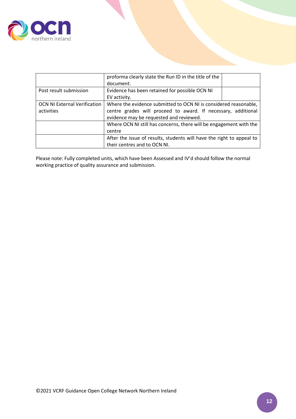

|                                     | proforma clearly state the Run ID in the title of the                 |  |
|-------------------------------------|-----------------------------------------------------------------------|--|
|                                     | document.                                                             |  |
| Post result submission              | Evidence has been retained for possible OCN NI                        |  |
|                                     | EV activity.                                                          |  |
| <b>OCN NI External Verification</b> | Where the evidence submitted to OCN NI is considered reasonable,      |  |
| activities                          | centre grades will proceed to award. If necessary, additional         |  |
|                                     | evidence may be requested and reviewed.                               |  |
|                                     | Where OCN NI still has concerns, there will be engagement with the    |  |
|                                     | centre                                                                |  |
|                                     | After the issue of results, students will have the right to appeal to |  |
|                                     | their centres and to OCN NI.                                          |  |

Please note: Fully completed units, which have been Assessed and IV'd should follow the normal working practice of quality assurance and submission.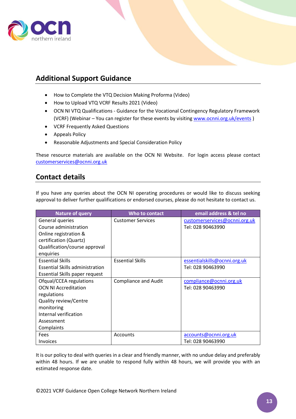

# <span id="page-12-0"></span>**Additional Support Guidance**

- How to Complete the VTQ Decision Making Proforma (Video)
- How to Upload VTQ VCRF Results 2021 (Video)
- OCN NI VTQ Qualifications Guidance for the Vocational Contingency Regulatory Framework (VCRF) (Webinar - You can register for these events by visiting [www.ocnni.org.uk/events](http://www.ocnni.org.uk/events))
- VCRF Frequently Asked Questions
- Appeals Policy
- Reasonable Adjustments and Special Consideration Policy

These resource materials are available on the OCN NI Website. For login access please contact [customerservices@ocnni.org.uk](mailto:customerservices@ocnni.org.uk)

### <span id="page-12-1"></span>**Contact details**

If you have any queries about the OCN NI operating procedures or would like to discuss seeking approval to deliver further qualifications or endorsed courses, please do not hesitate to contact us.

| <b>Nature of query</b>                 | Who to contact              | email address & tel no        |
|----------------------------------------|-----------------------------|-------------------------------|
| General queries                        | <b>Customer Services</b>    | customerservices@ocnni.org.uk |
| Course administration                  |                             | Tel: 028 90463990             |
| Online registration &                  |                             |                               |
| certification (Quartz)                 |                             |                               |
| Qualification/course approval          |                             |                               |
| enquiries                              |                             |                               |
| <b>Essential Skills</b>                | <b>Essential Skills</b>     | essentialskills@ocnni.org.uk  |
| <b>Essential Skills administration</b> |                             | Tel: 028 90463990             |
| Essential Skills paper request         |                             |                               |
| Ofqual/CCEA regulations                | <b>Compliance and Audit</b> | compliance@ocnni.org.uk       |
| <b>OCN NI Accreditation</b>            |                             | Tel: 028 90463990             |
| regulations                            |                             |                               |
| Quality review/Centre                  |                             |                               |
| monitoring                             |                             |                               |
| Internal verification                  |                             |                               |
| Assessment                             |                             |                               |
| Complaints                             |                             |                               |
| Fees                                   | <b>Accounts</b>             | accounts@ocnni.org.uk         |
| <b>Invoices</b>                        |                             | Tel: 028 90463990             |

It is our policy to deal with queries in a clear and friendly manner, with no undue delay and preferably within 48 hours. If we are unable to respond fully within 48 hours, we will provide you with an estimated response date.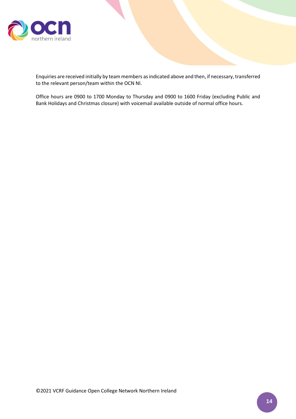

Enquiries are received initially by team members as indicated above and then, if necessary, transferred to the relevant person/team within the OCN NI.

Office hours are 0900 to 1700 Monday to Thursday and 0900 to 1600 Friday (excluding Public and Bank Holidays and Christmas closure) with voicemail available outside of normal office hours.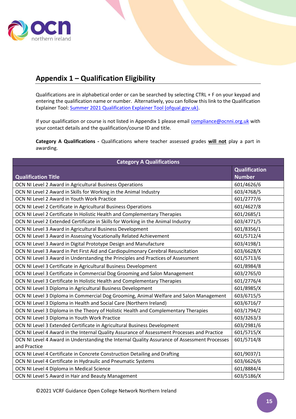

# <span id="page-14-0"></span>**Appendix 1 – Qualification Eligibility**

Qualifications are in alphabetical order or can be searched by selecting CTRL + F on your keypad and entering the qualification name or number. Alternatively, you can follow this link to the Qualification Explainer Tool[: Summer 2021 Qualification Explainer Tool \(ofqual.gov.uk\).](https://analytics.ofqual.gov.uk/apps/AllQualifications/summer2021tool/)

If your qualification or course is not listed in Appendix 1 please email **compliance@ocnni.org.uk** with your contact details and the qualification/course ID and title.

**Category A Qualifications -** Qualifications where teacher assessed grades **will not** play a part in awarding.

| <b>Category A Qualifications</b>                                                             |                      |  |
|----------------------------------------------------------------------------------------------|----------------------|--|
|                                                                                              | <b>Qualification</b> |  |
| <b>Qualification Title</b>                                                                   | <b>Number</b>        |  |
| OCN NI Level 2 Award in Agricultural Business Operations                                     | 601/4626/6           |  |
| OCN NI Level 2 Award in Skills for Working in the Animal Industry                            | 603/4768/5           |  |
| OCN NI Level 2 Award in Youth Work Practice                                                  | 601/2777/6           |  |
| OCN NI Level 2 Certificate in Agricultural Business Operations                               | 601/4627/8           |  |
| OCN NI Level 2 Certificate In Holistic Health and Complementary Therapies                    | 601/2685/1           |  |
| OCN NI Level 2 Extended Certificate in Skills for Working in the Animal Industry             | 603/4771/5           |  |
| OCN NI Level 3 Award in Agricultural Business Development                                    | 601/8356/1           |  |
| OCN NI Level 3 Award in Assessing Vocationally Related Achievement                           | 601/5712/4           |  |
| OCN NI Level 3 Award in Digital Prototype Design and Manufacture                             | 603/4198/1           |  |
| OCN NI Level 3 Award in Pet First Aid and Cardiopulmonary Cerebral Resuscitation             | 603/6628/X           |  |
| OCN NI Level 3 Award in Understanding the Principles and Practices of Assessment             | 601/5713/6           |  |
| OCN NI Level 3 Certificate in Agricultural Business Development                              | 601/8984/8           |  |
| OCN NI Level 3 Certificate in Commercial Dog Grooming and Salon Management                   | 603/2765/0           |  |
| OCN NI Level 3 Certificate In Holistic Health and Complementary Therapies                    | 601/2776/4           |  |
| OCN NI Level 3 Diploma in Agricultural Business Development                                  | 601/8985/X           |  |
| OCN NI Level 3 Diploma in Commercial Dog Grooming, Animal Welfare and Salon Management       | 603/6715/5           |  |
| OCN NI Level 3 Diploma in Health and Social Care (Northern Ireland)                          | 603/6716/7           |  |
| OCN NI Level 3 Diploma in the Theory of Holistic Health and Complementary Therapies          | 603/1794/2           |  |
| OCN NI Level 3 Diploma in Youth Work Practice                                                | 603/3263/3           |  |
| OCN NI Level 3 Extended Certificate in Agricultural Business Development                     | 603/2981/6           |  |
| OCN NI Level 4 Award in the Internal Quality Assurance of Assessment Processes and Practice  | 601/5715/X           |  |
| OCN NI Level 4 Award in Understanding the Internal Quality Assurance of Assessment Processes | 601/5714/8           |  |
| and Practice                                                                                 |                      |  |
| OCN NI Level 4 Certificate in Concrete Construction Detailing and Drafting                   | 601/9037/1           |  |
| OCN NI Level 4 Certificate in Hydraulic and Pneumatic Systems                                | 603/6626/6           |  |
| OCN NI Level 4 Diploma in Medical Science                                                    | 601/8884/4           |  |
| OCN NI Level 5 Award in Hair and Beauty Management                                           | 603/5186/X           |  |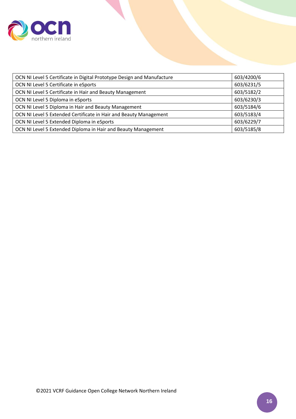

| OCN NI Level 5 Certificate in Digital Prototype Design and Manufacture | 603/4200/6 |
|------------------------------------------------------------------------|------------|
| OCN NI Level 5 Certificate in eSports                                  | 603/6231/5 |
| OCN NI Level 5 Certificate in Hair and Beauty Management               | 603/5182/2 |
| OCN NI Level 5 Diploma in eSports                                      | 603/6230/3 |
| OCN NI Level 5 Diploma in Hair and Beauty Management                   | 603/5184/6 |
| OCN NI Level 5 Extended Certificate in Hair and Beauty Management      | 603/5183/4 |
| OCN NI Level 5 Extended Diploma in eSports                             | 603/6229/7 |
| OCN NI Level 5 Extended Diploma in Hair and Beauty Management          | 603/5185/8 |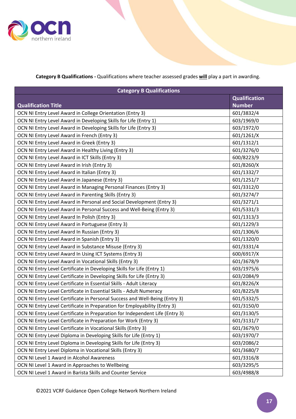

**Category B Qualifications -** Qualifications where teacher assessed grades **will** play a part in awarding.

| <b>Category B Qualifications</b>                                             |                      |  |
|------------------------------------------------------------------------------|----------------------|--|
|                                                                              | <b>Qualification</b> |  |
| <b>Qualification Title</b>                                                   | <b>Number</b>        |  |
| OCN NI Entry Level Award in College Orientation (Entry 3)                    | 601/3832/4           |  |
| OCN NI Entry Level Award in Developing Skills for Life (Entry 1)             | 603/1969/0           |  |
| OCN NI Entry Level Award in Developing Skills for Life (Entry 3)             | 603/1972/0           |  |
| OCN NI Entry Level Award in French (Entry 3)                                 | 601/1261/X           |  |
| OCN NI Entry Level Award in Greek (Entry 3)                                  | 601/1312/1           |  |
| OCN NI Entry Level Award in Healthy Living (Entry 3)                         | 601/3276/0           |  |
| OCN NI Entry Level Award in ICT Skills (Entry 3)                             | 600/8223/9           |  |
| OCN NI Entry Level Award in Irish (Entry 3)                                  | 601/8260/X           |  |
| OCN NI Entry Level Award in Italian (Entry 3)                                | 601/1332/7           |  |
| OCN NI Entry Level Award in Japanese (Entry 3)                               | 601/1251/7           |  |
| OCN NI Entry Level Award in Managing Personal Finances (Entry 3)             | 601/3312/0           |  |
| OCN NI Entry Level Award in Parenting Skills (Entry 3)                       | 601/3274/7           |  |
| OCN NI Entry Level Award in Personal and Social Development (Entry 3)        | 601/3271/1           |  |
| OCN NI Entry Level Award in Personal Success and Well-Being (Entry 3)        | 601/5331/3           |  |
| OCN NI Entry Level Award In Polish (Entry 3)                                 | 601/1313/3           |  |
| OCN NI Entry Level Award in Portuguese (Entry 3)                             | 601/1229/3           |  |
| OCN NI Entry Level Award In Russian (Entry 3)                                | 601/1306/6           |  |
| OCN NI Entry Level Award in Spanish (Entry 3)                                | 601/1320/0           |  |
| OCN NI Entry Level Award in Substance Misuse (Entry 3)                       | 601/3331/4           |  |
| OCN NI Entry Level Award In Using ICT Systems (Entry 3)                      | 600/6917/X           |  |
| OCN NI Entry Level Award in Vocational Skills (Entry 3)                      | 601/3678/9           |  |
| OCN NI Entry Level Certificate in Developing Skills for Life (Entry 1)       | 603/1975/6           |  |
| OCN NI Entry Level Certificate in Developing Skills for Life (Entry 3)       | 603/2084/9           |  |
| OCN NI Entry Level Certificate in Essential Skills - Adult Literacy          | 601/8226/X           |  |
| OCN NI Entry Level Certificate in Essential Skills - Adult Numeracy          | 601/8225/8           |  |
| OCN NI Entry Level Certificate in Personal Success and Well-Being (Entry 3)  | 601/5332/5           |  |
| OCN NI Entry Level Certificate in Preparation for Employability (Entry 3)    | 601/3150/0           |  |
| OCN NI Entry Level Certificate in Preparation for Independent Life (Entry 3) | 601/3130/5           |  |
| OCN NI Entry Level Certificate in Preparation for Work (Entry 3)             | 601/3131/7           |  |
| OCN NI Entry Level Certificate in Vocational Skills (Entry 3)                | 601/3679/0           |  |
| OCN NI Entry Level Diploma in Developing Skills for Life (Entry 1)           | 603/1970/7           |  |
| OCN NI Entry Level Diploma in Developing Skills for Life (Entry 3)           | 603/2086/2           |  |
| OCN NI Entry Level Diploma in Vocational Skills (Entry 3)                    | 601/3680/7           |  |
| OCN NI Level 1 Award in Alcohol Awareness                                    | 601/3316/8           |  |
| OCN NI Level 1 Award in Approaches to Wellbeing                              | 603/3295/5           |  |
| OCN NI Level 1 Award in Barista Skills and Counter Service                   | 603/4988/8           |  |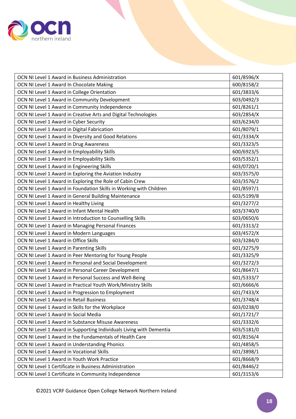

| OCN NI Level 1 Award in Business Administration                     | 601/8596/X |
|---------------------------------------------------------------------|------------|
| OCN NI Level 1 Award In Chocolate Making                            | 600/8158/2 |
| OCN NI Level 1 Award in College Orientation                         | 601/3833/6 |
| OCN NI Level 1 Award in Community Development                       | 603/0492/3 |
| OCN NI Level 1 Award in Community Independence                      | 601/8261/1 |
| OCN NI Level 1 Award in Creative Arts and Digital Technologies      | 603/2854/X |
| OCN NI Level 1 Award in Cyber Security                              | 603/6234/0 |
| OCN NI Level 1 Award in Digital Fabrication                         | 601/8079/1 |
| OCN NI Level 1 Award in Diversity and Good Relations                | 601/3334/X |
| OCN NI Level 1 Award in Drug Awareness                              | 601/3323/5 |
| OCN NI Level 1 Award in Employability Skills                        | 600/6923/5 |
| OCN NI Level 1 Award in Employability Skills                        | 603/5352/1 |
| OCN NI Level 1 Award in Engineering Skills                          | 603/0720/1 |
| OCN NI Level 1 Award in Exploring the Aviation Industry             | 603/3575/0 |
| OCN NI Level 1 Award in Exploring the Role of Cabin Crew            | 603/3576/2 |
| OCN NI Level 1 Award in Foundation Skills in Working with Children  | 601/8597/1 |
| OCN NI Level 1 Award in General Building Maintenance                | 603/5199/8 |
| OCN NI Level 1 Award in Healthy Living                              | 601/3277/2 |
| OCN NI Level 1 Award in Infant Mental Health                        | 603/3740/0 |
| OCN NI Level 1 Award in Introduction to Counselling Skills          | 603/0650/6 |
| OCN NI Level 1 Award in Managing Personal Finances                  | 601/3313/2 |
| OCN NI Level 1 Award in Modern Languages                            | 603/4572/X |
| OCN NI Level 1 Award in Office Skills                               | 603/3284/0 |
| OCN NI Level 1 Award in Parenting Skills                            | 601/3275/9 |
| OCN NI Level 1 Award in Peer Mentoring for Young People             | 601/3325/9 |
| OCN NI Level 1 Award in Personal and Social Development             | 601/3272/3 |
| OCN NI Level 1 Award in Personal Career Development                 | 601/8647/1 |
| OCN NI Level 1 Award in Personal Success and Well-Being             | 601/5333/7 |
| OCN NI Level 1 Award in Practical Youth Work/Ministry Skills        | 601/6666/6 |
| OCN NI Level 1 Award in Progression to Employment                   | 601/7433/X |
| OCN NI Level 1 Award in Retail Business                             | 601/3748/4 |
| OCN NI Level 1 Award in Skills for the Workplace                    | 603/0238/0 |
| OCN NI Level 1 Award In Social Media                                | 601/1721/7 |
| OCN NI Level 1 Award in Substance Misuse Awareness                  | 601/3332/6 |
| OCN NI Level 1 Award in Supporting Individuals Living with Dementia | 603/5181/0 |
| OCN NI Level 1 Award in the Fundamentals of Health Care             | 601/8156/4 |
| OCN NI Level 1 Award in Understanding Phonics                       | 601/4858/5 |
| OCN NI Level 1 Award in Vocational Skills                           | 601/3898/1 |
| OCN NI Level 1 Award in Youth Work Practice                         | 601/8668/9 |
| OCN NI Level 1 Certificate in Business Administration               | 601/8446/2 |
| OCN NI Level 1 Certificate in Community Independence                | 601/3153/6 |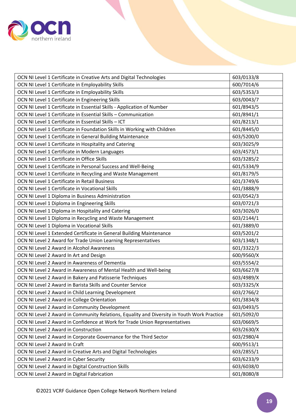

| OCN NI Level 1 Certificate in Creative Arts and Digital Technologies                       | 603/0133/8 |
|--------------------------------------------------------------------------------------------|------------|
| OCN NI Level 1 Certificate in Employability Skills                                         | 600/7014/6 |
| OCN NI Level 1 Certificate in Employability Skills                                         | 603/5353/3 |
| OCN NI Level 1 Certificate in Engineering Skills                                           | 603/0043/7 |
| OCN NI Level 1 Certificate in Essential Skills - Application of Number                     | 601/8943/5 |
| OCN NI Level 1 Certificate in Essential Skills - Communication                             | 601/8941/1 |
| OCN NI Level 1 Certificate in Essential Skills - ICT                                       | 601/8213/1 |
| OCN NI Level 1 Certificate in Foundation Skills in Working with Children                   | 601/8445/0 |
| OCN NI Level 1 Certificate in General Building Maintenance                                 | 603/5200/0 |
| OCN NI Level 1 Certificate in Hospitality and Catering                                     | 603/3025/9 |
| OCN NI Level 1 Certificate in Modern Languages                                             | 603/4573/1 |
| OCN NI Level 1 Certificate in Office Skills                                                | 603/3285/2 |
| OCN NI Level 1 Certificate in Personal Success and Well-Being                              | 601/5334/9 |
| OCN NI Level 1 Certificate in Recycling and Waste Management                               | 601/8179/5 |
| OCN NI Level 1 Certificate in Retail Business                                              | 601/3749/6 |
| OCN NI Level 1 Certificate in Vocational Skills                                            | 601/3888/9 |
| OCN NI Level 1 Diploma in Business Administration                                          | 603/0542/3 |
| OCN NI Level 1 Diploma in Engineering Skills                                               | 603/0721/3 |
| OCN NI Level 1 Diploma in Hospitality and Catering                                         | 603/3026/0 |
| OCN NI Level 1 Diploma in Recycling and Waste Management                                   | 603/2144/1 |
| OCN NI Level 1 Diploma in Vocational Skills                                                | 601/3889/0 |
| OCN NI Level 1 Extended Certificate in General Building Maintenance                        | 603/5201/2 |
| OCN NI Level 2 Award for Trade Union Learning Representatives                              | 603/1348/1 |
| OCN NI Level 2 Award in Alcohol Awareness                                                  | 601/3322/3 |
| OCN NI Level 2 Award In Art and Design                                                     | 600/9560/X |
| OCN NI Level 2 Award in Awareness of Dementia                                              | 603/5554/2 |
| OCN NI Level 2 Award in Awareness of Mental Health and Well-being                          | 603/6627/8 |
| OCN NI Level 2 Award in Bakery and Patisserie Techniques                                   | 603/4989/X |
| OCN NI Level 2 Award in Barista Skills and Counter Service                                 | 603/3325/X |
| OCN NI Level 2 Award in Child Learning Development                                         | 603/2766/2 |
| OCN NI Level 2 Award in College Orientation                                                | 601/3834/8 |
| OCN NI Level 2 Award in Community Development                                              | 603/0493/5 |
| OCN NI Level 2 Award in Community Relations, Equality and Diversity in Youth Work Practice | 601/5092/0 |
| OCN NI Level 2 Award in Confidence at Work for Trade Union Representatives                 | 603/0669/5 |
| OCN NI Level 2 Award in Construction                                                       | 603/2630/X |
| OCN NI Level 2 Award in Corporate Governance for the Third Sector                          | 603/2980/4 |
| OCN NI Level 2 Award In Craft                                                              | 600/9513/1 |
| OCN NI Level 2 Award in Creative Arts and Digital Technologies                             | 603/2855/1 |
| OCN NI Level 2 Award in Cyber Security                                                     | 603/6233/9 |
| OCN NI Level 2 Award in Digital Construction Skills                                        | 603/6038/0 |
| OCN NI Level 2 Award in Digital Fabrication                                                | 601/8080/8 |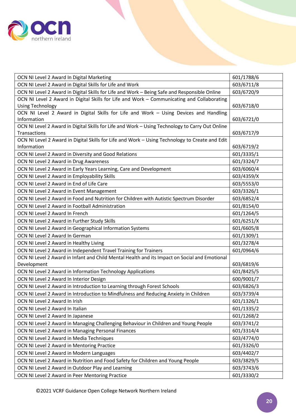

| OCN NI Level 2 Award In Digital Marketing                                                       | 601/1788/6 |
|-------------------------------------------------------------------------------------------------|------------|
| OCN NI Level 2 Award in Digital Skills for Life and Work                                        | 603/6711/8 |
| OCN NI Level 2 Award in Digital Skills for Life and Work - Being Safe and Responsible Online    | 603/6720/9 |
| OCN NI Level 2 Award in Digital Skills for Life and Work - Communicating and Collaborating      |            |
| <b>Using Technology</b>                                                                         | 603/6718/0 |
| OCN NI Level 2 Award in Digital Skills for Life and Work - Using Devices and Handling           |            |
| Information                                                                                     | 603/6721/0 |
| OCN NI Level 2 Award in Digital Skills for Life and Work - Using Technology to Carry Out Online |            |
| Transactions                                                                                    | 603/6717/9 |
| OCN NI Level 2 Award in Digital Skills for Life and Work - Using Technology to Create and Edit  |            |
| Information                                                                                     | 603/6719/2 |
| OCN NI Level 2 Award in Diversity and Good Relations                                            | 601/3335/1 |
| OCN NI Level 2 Award in Drug Awareness                                                          | 601/3324/7 |
| OCN NI Level 2 Award in Early Years Learning, Care and Development                              | 603/6060/4 |
| OCN NI Level 2 Award in Employability Skills                                                    | 603/4359/X |
| OCN NI Level 2 Award in End of Life Care                                                        | 603/5553/0 |
| OCN NI Level 2 Award in Event Management                                                        | 603/3326/1 |
| OCN NI Level 2 Award in Food and Nutrition for Children with Autistic Spectrum Disorder         | 603/6852/4 |
| OCN NI Level 2 Award in Football Administration                                                 | 601/8154/0 |
| OCN NI Level 2 Award In French                                                                  | 601/1264/5 |
| OCN NI Level 2 Award in Further Study Skills                                                    | 601/6251/X |
| OCN NI Level 2 Award in Geographical Information Systems                                        | 601/6605/8 |
| OCN NI Level 2 Award In German                                                                  | 601/1309/1 |
| OCN NI Level 2 Award in Healthy Living                                                          | 601/3278/4 |
| OCN NI Level 2 Award in Independent Travel Training for Trainers                                | 601/0964/6 |
| OCN NI Level 2 Award in Infant and Child Mental Health and its Impact on Social and Emotional   |            |
| Development                                                                                     | 603/6819/6 |
| OCN NI Level 2 Award in Information Technology Applications                                     | 601/8425/5 |
| OCN NI Level 2 Award In Interior Design                                                         | 600/9001/7 |
| OCN NI Level 2 Award in Introduction to Learning through Forest Schools                         | 603/6826/3 |
| OCN NI Level 2 Award in Introduction to Mindfulness and Reducing Anxiety in Children            | 603/3739/4 |
| OCN NI Level 2 Award In Irish                                                                   | 601/1326/1 |
| OCN NI Level 2 Award In Italian                                                                 | 601/1335/2 |
| OCN NI Level 2 Award In Japanese                                                                | 601/1268/2 |
| OCN NI Level 2 Award in Managing Challenging Behaviour in Children and Young People             | 603/3741/2 |
| OCN NI Level 2 Award in Managing Personal Finances                                              | 601/3314/4 |
| OCN NI Level 2 Award in Media Techniques                                                        | 603/4774/0 |
| OCN NI Level 2 Award in Mentoring Practice                                                      | 601/3326/0 |
| OCN NI Level 2 Award in Modern Languages                                                        | 603/4402/7 |
| OCN NI Level 2 Award in Nutrition and Food Safety for Children and Young People                 | 603/3829/5 |
| OCN NI Level 2 Award in Outdoor Play and Learning                                               | 603/3743/6 |
| OCN NI Level 2 Award in Peer Mentoring Practice                                                 | 601/3330/2 |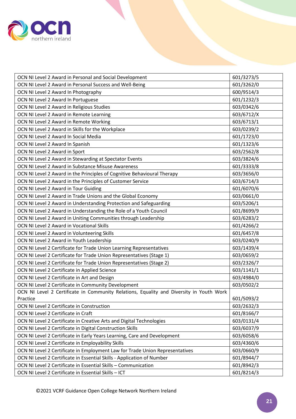

| OCN NI Level 2 Award in Personal and Social Development                                 | 601/3273/5 |
|-----------------------------------------------------------------------------------------|------------|
| OCN NI Level 2 Award in Personal Success and Well-Being                                 | 601/3262/0 |
| OCN NI Level 2 Award In Photography                                                     | 600/9514/3 |
| OCN NI Level 2 Award In Portuguese                                                      | 601/1232/3 |
| OCN NI Level 2 Award in Religious Studies                                               | 603/0342/6 |
| OCN NI Level 2 Award in Remote Learning                                                 | 603/6712/X |
| OCN NI Level 2 Award in Remote Working                                                  | 603/6713/1 |
| OCN NI Level 2 Award in Skills for the Workplace                                        | 603/0239/2 |
| OCN NI Level 2 Award In Social Media                                                    | 601/1723/0 |
| OCN NI Level 2 Award In Spanish                                                         | 601/1323/6 |
| OCN NI Level 2 Award in Sport                                                           | 603/2562/8 |
| OCN NI Level 2 Award in Stewarding at Spectator Events                                  | 603/3824/6 |
| OCN NI Level 2 Award in Substance Misuse Awareness                                      | 601/3333/8 |
| OCN NI Level 2 Award in the Principles of Cognitive Behavioural Therapy                 | 603/3656/0 |
| OCN NI Level 2 Award in the Principles of Customer Service                              | 603/6714/3 |
| OCN NI Level 2 Award in Tour Guiding                                                    | 601/6070/6 |
| OCN NI Level 2 Award in Trade Unions and the Global Economy                             | 603/0661/0 |
| OCN NI Level 2 Award in Understanding Protection and Safeguarding                       | 603/5206/1 |
| OCN NI Level 2 Award in Understanding the Role of a Youth Council                       | 601/8699/9 |
| OCN NI Level 2 Award in Uniting Communities through Leadership                          | 603/6283/2 |
| OCN NI Level 2 Award in Vocational Skills                                               | 601/4266/2 |
| OCN NI Level 2 Award in Volunteering Skills                                             | 601/6457/8 |
| OCN NI Level 2 Award in Youth Leadership                                                | 603/0240/9 |
| OCN NI Level 2 Certificate for Trade Union Learning Representatives                     | 603/1439/4 |
| OCN NI Level 2 Certificate for Trade Union Representatives (Stage 1)                    | 603/0659/2 |
| OCN NI Level 2 Certificate for Trade Union Representatives (Stage 2)                    | 603/2326/7 |
| OCN NI Level 2 Certificate in Applied Science                                           | 603/1141/1 |
| OCN NI Level 2 Certificate in Art and Design                                            | 603/4984/0 |
| OCN NI Level 2 Certificate in Community Development                                     | 603/0502/2 |
| OCN NI Level 2 Certificate in Community Relations, Equality and Diversity in Youth Work |            |
| Practice                                                                                | 601/5093/2 |
| OCN NI Level 2 Certificate in Construction                                              | 603/2632/3 |
| OCN NI Level 2 Certificate in Craft                                                     | 601/8166/7 |
| OCN NI Level 2 Certificate in Creative Arts and Digital Technologies                    | 603/0131/4 |
| OCN NI Level 2 Certificate in Digital Construction Skills                               | 603/6037/9 |
| OCN NI Level 2 Certificate in Early Years Learning, Care and Development                | 603/6058/6 |
| OCN NI Level 2 Certificate in Employability Skills                                      | 603/4360/6 |
| OCN NI Level 2 Certificate in Employment Law for Trade Union Representatives            | 603/0660/9 |
| OCN NI Level 2 Certificate in Essential Skills - Application of Number                  | 601/8944/7 |
| OCN NI Level 2 Certificate in Essential Skills - Communication                          | 601/8942/3 |
| OCN NI Level 2 Certificate in Essential Skills - ICT                                    | 601/8214/3 |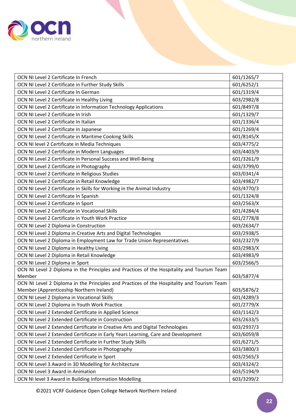

| OCN NI Level 2 Certificate In French                                                       | 601/1265/7 |
|--------------------------------------------------------------------------------------------|------------|
| OCN NI Level 2 Certificate in Further Study Skills                                         | 601/6252/1 |
| OCN NI Level 2 Certificate In German                                                       | 601/1319/4 |
| OCN NI Level 2 Certificate in Healthy Living                                               | 603/2982/8 |
| OCN NI Level 2 Certificate in Information Technology Applications                          | 601/8497/8 |
| OCN NI Level 2 Certificate In Irish                                                        | 601/1329/7 |
| OCN NI Level 2 Certificate In Italian                                                      | 601/1336/4 |
| OCN NI Level 2 Certificate In Japanese                                                     | 601/1269/4 |
| OCN NI Level 2 Certificate in Maritime Cooking Skills                                      | 601/8145/X |
| OCN NI level 2 Certificate in Media Techniques                                             | 603/4775/2 |
| OCN NI Level 2 Certificate in Modern Languages                                             | 603/4403/9 |
| OCN NI Level 2 Certificate in Personal Success and Well-Being                              | 601/3261/9 |
| OCN NI Level 2 Certificate in Photography                                                  | 603/3799/0 |
| OCN NI Level 2 Certificate in Religious Studies                                            | 603/0341/4 |
| OCN NI Level 2 Certificate in Retail Knowledge                                             | 603/4982/7 |
| OCN NI Level 2 Certificate in Skills for Working in the Animal Industry                    | 603/4770/3 |
| OCN NI Level 2 Certificate In Spanish                                                      | 601/1324/8 |
| OCN NI Level 2 Certificate in Sport                                                        | 603/2563/X |
| OCN NI Level 2 Certificate in Vocational Skills                                            | 601/4284/4 |
| OCN NI Level 2 Certificate in Youth Work Practice                                          | 601/2778/8 |
| OCN NI Level 2 Diploma in Construction                                                     | 603/2634/7 |
| OCN NI Level 2 Diploma in Creative Arts and Digital Technologies                           | 603/2938/5 |
| OCN NI Level 2 Diploma in Employment Law for Trade Union Representatives                   | 603/2327/9 |
| OCN NI Level 2 Diploma in Healthy Living                                                   | 603/2983/X |
| OCN NI Level 2 Diploma in Retail Knowledge                                                 | 603/4983/9 |
| OCN NI Level 2 Diploma in Sport                                                            | 603/2566/5 |
| OCN NI Level 2 Diploma in the Principles and Practices of the Hospitality and Tourism Team |            |
| Member                                                                                     | 603/5877/4 |
| OCN NI Level 2 Diploma in the Principles and Practices of the Hospitality and Tourism Team |            |
| Member (Apprenticeship Northern Ireland)                                                   | 603/5876/2 |
| OCN NI Level 2 Diploma in Vocational Skills                                                | 601/4289/3 |
| OCN NI Level 2 Diploma in Youth Work Practice                                              | 601/2779/X |
| OCN NI Level 2 Extended Certificate in Applied Science                                     | 603/1142/3 |
| OCN NI Level 2 Extended Certificate in Construction                                        | 603/2633/5 |
| OCN NI Level 2 Extended Certificate in Creative Arts and Digital Technologies              | 603/2937/3 |
| OCN NI Level 2 Extended Certificate in Early Years Learning, Care and Development          | 603/6059/8 |
| OCN NI Level 2 Extended Certificate in Further Study Skills                                | 601/6271/5 |
| OCN NI Level 2 Extended Certificate in Photography                                         | 603/3800/3 |
| OCN NI Level 2 Extended Certificate in Sport                                               | 603/2565/3 |
| OCN NI Level 3 Award in 3D Modelling for Architecture                                      | 603/4324/2 |
| OCN NI Level 3 Award in Animation                                                          | 603/5194/9 |
| OCN NI level 3 Award in Building Information Modelling                                     | 603/3299/2 |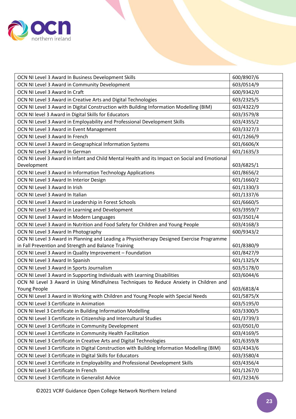

| OCN NI Level 3 Award In Business Development Skills                                           | 600/8907/6 |
|-----------------------------------------------------------------------------------------------|------------|
| OCN NI Level 3 Award in Community Development                                                 | 603/0514/9 |
| OCN NI Level 3 Award In Craft                                                                 | 600/9342/0 |
| OCN NI Level 3 Award in Creative Arts and Digital Technologies                                | 603/2325/5 |
| OCN NI Level 3 Award in Digital Construction with Building Information Modelling (BIM)        | 603/4322/9 |
| OCN NI level 3 Award in Digital Skills for Educators                                          | 603/3579/8 |
| OCN NI Level 3 Award in Employability and Professional Development Skills                     | 603/4355/2 |
| OCN NI Level 3 Award in Event Management                                                      | 603/3327/3 |
| OCN NI Level 3 Award In French                                                                | 601/1266/9 |
| OCN NI Level 3 Award in Geographical Information Systems                                      | 601/6606/X |
| OCN NI Level 3 Award In German                                                                | 601/1635/3 |
| OCN NI Level 3 Award in Infant and Child Mental Health and its Impact on Social and Emotional |            |
| Development                                                                                   | 603/6825/1 |
| OCN NI Level 3 Award in Information Technology Applications                                   | 601/8656/2 |
| OCN NI Level 3 Award In Interior Design                                                       | 601/1660/2 |
| OCN NI Level 3 Award In Irish                                                                 | 601/1330/3 |
| OCN NI Level 3 Award In Italian                                                               | 601/1337/6 |
| OCN NI Level 3 Award in Leadership in Forest Schools                                          | 601/6660/5 |
| OCN NI Level 3 Award in Learning and Development                                              | 603/3959/7 |
| OCN NI Level 3 Award in Modern Languages                                                      | 603/3501/4 |
| OCN NI Level 3 Award in Nutrition and Food Safety for Children and Young People               | 603/4168/3 |
| OCN NI Level 3 Award In Photography                                                           | 600/9343/2 |
| OCN NI Level 3 Award in Planning and Leading a Physiotherapy Designed Exercise Programme      |            |
| in Fall Prevention and Strength and Balance Training                                          | 601/8380/9 |
| OCN NI Level 3 Award in Quality Improvement - Foundation                                      | 601/8427/9 |
| OCN NI Level 3 Award In Spanish                                                               | 601/1325/X |
| OCN NI Level 3 Award in Sports Journalism                                                     | 603/5178/0 |
| OCN NI Level 3 Award in Supporting Individuals with Learning Disabilities                     | 603/6044/6 |
| OCN NI Level 3 Award in Using Mindfulness Techniques to Reduce Anxiety in Children and        |            |
| Young People                                                                                  | 603/6818/4 |
| OCN NI Level 3 Award in Working with Children and Young People with Special Needs             | 601/5875/X |
| OCN NI Level 3 Certificate in Animation                                                       | 603/5195/0 |
| OCN NI level 3 Certificate in Building Information Modelling                                  | 603/3300/5 |
| OCN NI Level 3 Certificate in Citizenship and Intercultural Studies                           | 601/3739/3 |
| OCN NI Level 3 Certificate in Community Development                                           | 603/0501/0 |
| OCN NI Level 3 Certificate in Community Health Facilitation                                   | 603/4169/5 |
| OCN NI Level 3 Certificate in Creative Arts and Digital Technologies                          | 601/6359/8 |
| OCN NI Level 3 Certificate in Digital Construction with Building Information Modelling (BIM)  | 603/4343/6 |
| OCN NI Level 3 Certificate in Digital Skills for Educators                                    | 603/3580/4 |
| OCN NI Level 3 Certificate in Employability and Professional Development Skills               | 603/4356/4 |
| OCN NI Level 3 Certificate In French                                                          | 601/1267/0 |
| OCN NI Level 3 Certificate in Generalist Advice                                               | 601/3234/6 |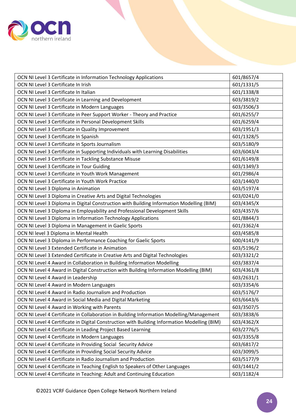

| OCN NI Level 3 Certificate in Information Technology Applications                            | 601/8657/4 |
|----------------------------------------------------------------------------------------------|------------|
| OCN NI Level 3 Certificate In Irish                                                          | 601/1331/5 |
| OCN NI Level 3 Certificate In Italian                                                        | 601/1338/8 |
| OCN NI Level 3 Certificate in Learning and Development                                       | 603/3819/2 |
| OCN NI Level 3 Certificate in Modern Languages                                               | 603/3506/3 |
| OCN NI Level 3 Certificate in Peer Support Worker - Theory and Practice                      | 601/6255/7 |
| OCN NI Level 3 Certificate in Personal Development Skills                                    | 601/6259/4 |
| OCN NI Level 3 Certificate in Quality Improvement                                            | 603/1951/3 |
| OCN NI Level 3 Certificate In Spanish                                                        | 601/1328/5 |
| OCN NI Level 3 Certificate in Sports Journalism                                              | 603/5180/9 |
| OCN NI Level 3 Certificate in Supporting Individuals with Learning Disabilities              | 603/6043/4 |
| OCN NI Level 3 Certificate in Tackling Substance Misuse                                      | 601/6149/8 |
| OCN NI Level 3 Certificate in Tour Guiding                                                   | 603/1349/3 |
| OCN NI Level 3 Certificate in Youth Work Management                                          | 601/2986/4 |
| OCN NI Level 3 Certificate in Youth Work Practice                                            | 603/1440/0 |
| OCN NI Level 3 Diploma in Animation                                                          | 603/5197/4 |
| OCN NI Level 3 Diploma in Creative Arts and Digital Technologies                             | 603/0241/0 |
| OCN NI Level 3 Diploma in Digital Construction with Building Information Modelling (BIM)     | 603/4345/X |
| OCN NI Level 3 Diploma in Employability and Professional Development Skills                  | 603/4357/6 |
| OCN NI Level 3 Diploma in Information Technology Applications                                | 601/8844/3 |
| OCN NI Level 3 Diploma in Management in Gaelic Sports                                        | 601/3362/4 |
| OCN NI level 3 Diploma in Mental Health                                                      | 603/4585/8 |
| OCN NI Level 3 Diploma in Performance Coaching for Gaelic Sports                             | 600/4141/9 |
| OCN NI Level 3 Extended Certificate in Animation                                             | 603/5196/2 |
| OCN NI Level 3 Extended Certificate in Creative Arts and Digital Technologies                | 603/3321/2 |
| OCN NI Level 4 Award in Collaboration in Building Information Modelling                      | 603/3837/4 |
| OCN NI Level 4 Award in Digital Construction with Building Information Modelling (BIM)       | 603/4361/8 |
| OCN NI Level 4 Award in Leadership                                                           | 603/2631/1 |
| OCN NI Level 4 Award in Modern Languages                                                     | 603/3354/6 |
| OCN NI Level 4 Award in Radio Journalism and Production                                      | 603/5176/7 |
| OCN NI Level 4 Award in Social Media and Digital Marketing                                   | 603/6643/6 |
| OCN NI Level 4 Award in Working with Parents                                                 | 603/3507/5 |
| OCN NI Level 4 Certificate in Collaboration in Building Information Modelling/Management     | 603/3838/6 |
| OCN NI Level 4 Certificate in Digital Construction with Building Information Modelling (BIM) | 603/4362/X |
| OCN NI Level 4 Certificate in Leading Project Based Learning                                 | 603/2776/5 |
| OCN NI Level 4 Certificate in Modern Languages                                               | 603/3355/8 |
| OCN NI Level 4 Certificate in Providing Social Security Advice                               | 603/6817/2 |
| OCN NI Level 4 Certificate in Providing Social Security Advice                               | 603/3099/5 |
| OCN NI Level 4 Certificate in Radio Journalism and Production                                | 603/5177/9 |
| OCN NI Level 4 Certificate in Teaching English to Speakers of Other Languages                | 603/1441/2 |
| OCN NI Level 4 Certificate in Teaching: Adult and Continuing Education                       | 603/1182/4 |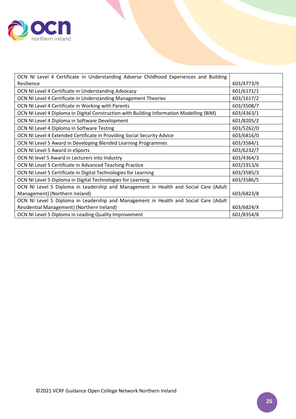

| OCN NI Level 4 Certificate in Understanding Adverse Childhood Experiences and Building   |            |
|------------------------------------------------------------------------------------------|------------|
| Resilience                                                                               | 603/4773/9 |
| OCN NI Level 4 Certificate in Understanding Advocacy                                     | 601/6171/1 |
| OCN NI Level 4 Certificate in Understanding Management Theories                          | 603/1617/2 |
| OCN NI Level 4 Certificate in Working with Parents                                       | 603/3508/7 |
| OCN NI Level 4 Diploma in Digital Construction with Building Information Modelling (BIM) | 603/4363/1 |
| OCN NI Level 4 Diploma in Software Development                                           | 601/8205/2 |
| OCN NI Level 4 Diploma in Software Testing                                               | 603/5262/0 |
| OCN NI Level 4 Extended Certificate in Providing Social Security Advice                  | 603/6816/0 |
| OCN NI Level 5 Award in Developing Blended Learning Programmes                           | 603/3584/1 |
| OCN NI Level 5 Award in eSports                                                          | 603/6232/7 |
| OCN NI level 5 Award in Lecturers into Industry                                          | 603/4364/3 |
| OCN NI Level 5 Certificate in Advanced Teaching Practice                                 | 603/1913/6 |
| OCN NI Level 5 Certificate in Digital Technologies for Learning                          | 603/3585/3 |
| OCN NI Level 5 Diploma in Digital Technologies for Learning                              | 603/3586/5 |
| OCN NI Level 5 Diploma in Leadership and Management in Health and Social Care (Adult     |            |
| Management) (Northern Ireland)                                                           | 603/6823/8 |
| OCN NI Level 5 Diploma in Leadership and Management in Health and Social Care (Adult     |            |
| Residential Management) (Northern Ireland)                                               | 603/6824/X |
| OCN NI Level 5 Diploma in Leading Quality Improvement                                    | 601/8354/8 |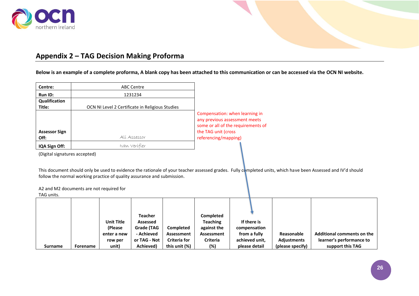

# **Appendix 2 – TAG Decision Making Proforma**

**Below is an example of a complete proforma, A blank copy has been attached to this communication or can be accessed via the OCN NI website.**

| Centre:                      | ABC Centre                                      |                                                                                                                                                      |
|------------------------------|-------------------------------------------------|------------------------------------------------------------------------------------------------------------------------------------------------------|
| <b>Run ID:</b>               | 1231234                                         |                                                                                                                                                      |
| Qualification                |                                                 |                                                                                                                                                      |
| Title:                       | OCN NI Level 2 Certificate in Religious Studies |                                                                                                                                                      |
| <b>Assessor Sign</b><br>Off: | Alí Assessor                                    | Compensation: when learning in<br>any previous assessment meets<br>some or all of the requirements of<br>the TAG unit (cross<br>referencing/mapping) |
| IQA Sign Off:                | Ivan Verífíer                                   |                                                                                                                                                      |

(Digital signatures accepted)

<span id="page-25-0"></span>This document should only be used to evidence the rationale of your teacher assessed grades. Fully completed units, which have been Assessed and IV'd should follow the normal working practice of quality assurance and submission.

A2 and M2 documents are not required for

TAG units.

| IAU UIIILS.    |          |                              |                        |                     |                                |                             |                    |                            |
|----------------|----------|------------------------------|------------------------|---------------------|--------------------------------|-----------------------------|--------------------|----------------------------|
|                |          |                              | Teacher                |                     | <b>Completed</b>               |                             |                    |                            |
|                |          | <b>Unit Title</b><br>(Please | Assessed<br>Grade (TAG | Completed           | <b>Teaching</b><br>against the | If there is<br>compensation |                    |                            |
|                |          | enter a new                  | - Achieved             | Assessment          | Assessment                     | from a fully                | Reasonable         | Additional comments on the |
|                |          | row per                      | or TAG - Not           | <b>Criteria for</b> | Criteria                       | achieved unit,              | <b>Adjustments</b> | learner's performance to   |
| <b>Surname</b> | Forename | unit)                        | Achieved)              | this unit (%)       | (%)                            | please detail               | (please specify)   | support this TAG           |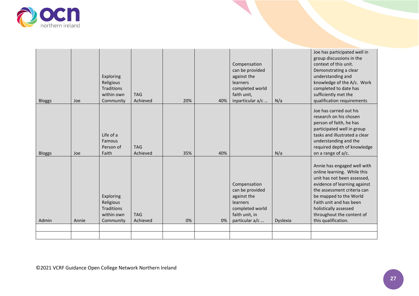

| <b>Bloggs</b> | Joe   | Exploring<br>Religious<br><b>Traditions</b><br>within own<br>Community | <b>TAG</b><br>Achieved | 20% | 40% | Compensation<br>can be provided<br>against the<br>learners<br>completed world<br>faith unit,<br>inparticular a/c  | N/a      | Joe has participated well in<br>group discussions in the<br>context of this unit.<br>Demonstrating a clear<br>understanding and<br>knowledge of the A/c. Work<br>completed to date has<br>sufficiently met the<br>qualification requirements                                               |
|---------------|-------|------------------------------------------------------------------------|------------------------|-----|-----|-------------------------------------------------------------------------------------------------------------------|----------|--------------------------------------------------------------------------------------------------------------------------------------------------------------------------------------------------------------------------------------------------------------------------------------------|
| <b>Bloggs</b> | Joe   | Life of a<br>Famous<br>Person of<br>Faith                              | <b>TAG</b><br>Achieved | 35% | 40% |                                                                                                                   | N/a      | Joe has carried out his<br>research on his chosen<br>person of faith, he has<br>participated well in group<br>tasks and illustrated a clear<br>understanding and the<br>required depth of knowledge<br>on a range of a/c.                                                                  |
| Admin         | Annie | Exploring<br>Religious<br>Traditions<br>within own<br>Community        | <b>TAG</b><br>Achieved | 0%  | 0%  | Compensation<br>can be provided<br>against the<br>learners<br>completed world<br>faith unit, in<br>particular a/c | Dyslexia | Annie has engaged well with<br>online learning. While this<br>unit has not been assessed,<br>evidence of learning against<br>the assessment criteria can<br>be mapped to the World<br>Faith unit and has been<br>holistically assessed<br>throughout the content of<br>this qualification. |
|               |       |                                                                        |                        |     |     |                                                                                                                   |          |                                                                                                                                                                                                                                                                                            |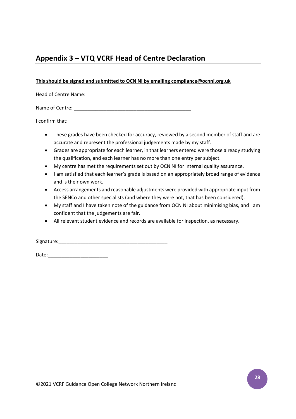# <span id="page-27-0"></span>**Appendix 3 – VTQ VCRF Head of Centre Declaration**

#### **This should be signed and submitted to OCN NI by emailing compliance@ocnni.org.uk**

Head of Centre Name: \_\_\_\_\_\_\_\_\_\_\_\_\_\_\_\_\_\_\_\_\_\_\_\_\_\_\_\_\_\_\_\_\_\_\_\_\_\_

Name of Centre: \_\_\_\_\_\_\_\_\_\_\_\_\_\_\_\_\_\_\_\_\_\_\_\_\_\_\_\_\_\_\_\_\_\_\_\_\_\_\_\_\_\_\_

I confirm that:

- These grades have been checked for accuracy, reviewed by a second member of staff and are accurate and represent the professional judgements made by my staff.
- Grades are appropriate for each learner, in that learners entered were those already studying the qualification, and each learner has no more than one entry per subject.
- My centre has met the requirements set out by OCN NI for internal quality assurance.
- I am satisfied that each learner's grade is based on an appropriately broad range of evidence and is their own work.
- Access arrangements and reasonable adjustments were provided with appropriate input from the SENCo and other specialists (and where they were not, that has been considered).
- My staff and I have taken note of the guidance from OCN NI about minimising bias, and I am confident that the judgements are fair.
- All relevant student evidence and records are available for inspection, as necessary.

Signature:\_\_\_\_\_\_\_\_\_\_\_\_\_\_\_\_\_\_\_\_\_\_\_\_\_\_\_\_\_\_\_\_\_\_\_\_\_\_\_\_

Date:\_\_\_\_\_\_\_\_\_\_\_\_\_\_\_\_\_\_\_\_\_\_